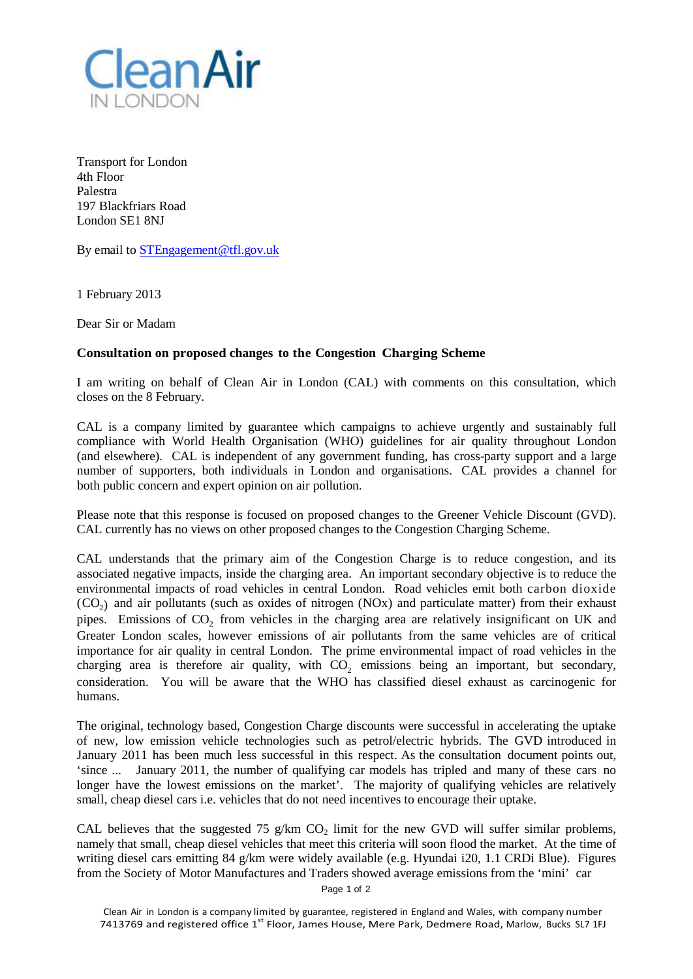

Transport for London 4th Floor Palestra 197 Blackfriars Road London SE1 8NJ

By email to [STEngagement@tfl.gov.uk](mailto:STEngagement@tfl.gov.uk)

1 February 2013

Dear Sir or Madam

## **Consultation on proposed changes to the Congestion Charging Scheme**

I am writing on behalf of Clean Air in London (CAL) with comments on this consultation, which closes on the 8 February.

CAL is a company limited by guarantee which campaigns to achieve urgently and sustainably full compliance with World Health Organisation (WHO) guidelines for air quality throughout London (and elsewhere). CAL is independent of any government funding, has cross-party support and a large number of supporters, both individuals in London and organisations. CAL provides a channel for both public concern and expert opinion on air pollution.

Please note that this response is focused on proposed changes to the Greener Vehicle Discount (GVD). CAL currently has no views on other proposed changes to the Congestion Charging Scheme.

CAL understands that the primary aim of the Congestion Charge is to reduce congestion, and its associated negative impacts, inside the charging area. An important secondary objective is to reduce the environmental impacts of road vehicles in central London. Road vehicles emit both carbon dioxide  $(CO<sub>2</sub>)$  and air pollutants (such as oxides of nitrogen (NOx) and particulate matter) from their exhaust pipes. Emissions of CO<sub>2</sub> from vehicles in the charging area are relatively insignificant on UK and Greater London scales, however emissions of air pollutants from the same vehicles are of critical importance for air quality in central London. The prime environmental impact of road vehicles in the charging area is therefore air quality, with  $CO<sub>2</sub>$  emissions being an important, but secondary, consideration. You will be aware that the WHO has classified diesel exhaust as carcinogenic for humans.

The original, technology based, Congestion Charge discounts were successful in accelerating the uptake of new, low emission vehicle technologies such as petrol/electric hybrids. The GVD introduced in January 2011 has been much less successful in this respect. As the consultation document points out, 'since ... January 2011, the number of qualifying car models has tripled and many of these cars no longer have the lowest emissions on the market'. The majority of qualifying vehicles are relatively small, cheap diesel cars i.e. vehicles that do not need incentives to encourage their uptake.

CAL believes that the suggested 75 g/km  $CO<sub>2</sub>$  limit for the new GVD will suffer similar problems, namely that small, cheap diesel vehicles that meet this criteria will soon flood the market. At the time of writing diesel cars emitting 84 g/km were widely available (e.g. Hyundai i20, 1.1 CRDi Blue). Figures from the Society of Motor Manufactures and Traders showed average emissions from the 'mini' car

Page 1 of 2